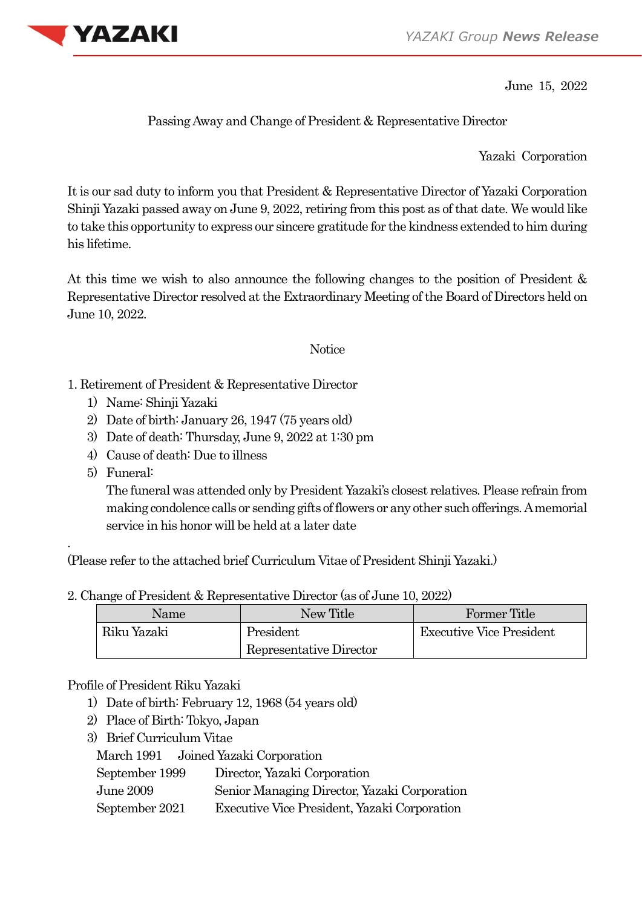

June 15, 2022

Passing Away and Change of President & Representative Director

Yazaki Corporation

It is our sad duty to inform you that President & Representative Director of Yazaki Corporation Shinji Yazaki passed away on June 9, 2022, retiring from this post as of that date. We would like to take this opportunity to express our sincere gratitude for the kindness extended to him during his lifetime.

At this time we wish to also announce the following changes to the position of President & Representative Director resolved at the Extraordinary Meeting of the Board of Directors held on June 10, 2022.

## **Notice**

- 1. Retirement of President & Representative Director
	- 1) Name: Shinji Yazaki
	- 2) Date of birth: January 26, 1947 (75 years old)
	- 3) Date of death: Thursday, June 9, 2022 at 1:30 pm
	- 4) Cause of death: Due to illness
	- 5) Funeral:

.

The funeral was attended only by President Yazaki's closest relatives. Please refrain from making condolence calls or sending gifts of flowers or any other such offerings. A memorial service in his honor will be held at a later date

(Please refer to the attached brief Curriculum Vitae of President Shinji Yazaki.)

2. Change of President & Representative Director (as of June 10, 2022)

| Name        | New Title               | Former Title                    |
|-------------|-------------------------|---------------------------------|
| Riku Yazaki | President               | <b>Executive Vice President</b> |
|             | Representative Director |                                 |

## Profile of President Riku Yazaki

- 1) Date of birth: February 12, 1968 (54 years old)
- 2) Place of Birth: Tokyo, Japan
- 3) Brief Curriculum Vitae

March 1991 Joined Yazaki Corporation

- June 2009 Senior Managing Director, Yazaki Corporation
- September 2021 Executive Vice President, Yazaki Corporation